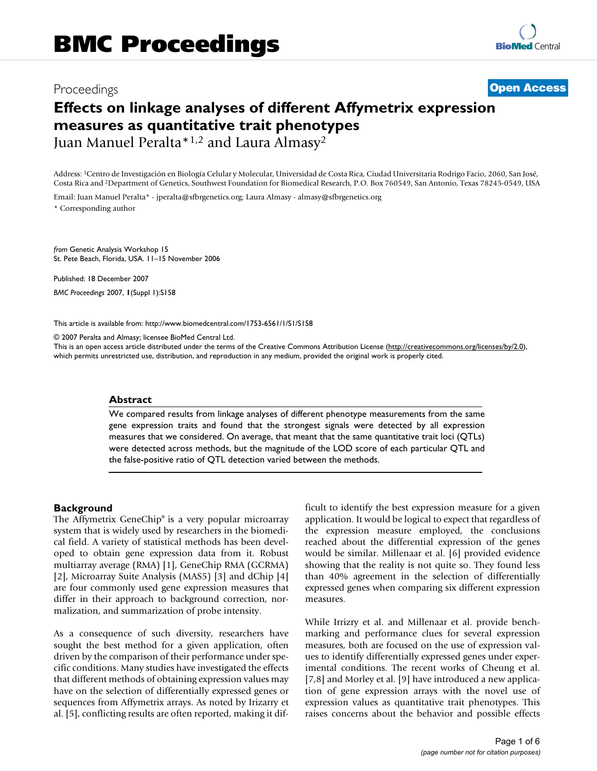# Proceedings **[Open Access](http://www.biomedcentral.com/info/about/charter/)**

# **Effects on linkage analyses of different Affymetrix expression measures as quantitative trait phenotypes** Juan Manuel Peralta\*1,2 and Laura Almasy2

Address: 1Centro de Investigación en Biología Celular y Molecular, Universidad de Costa Rica, Ciudad Universitaria Rodrigo Facio, 2060, San José, Costa Rica and 2Department of Genetics, Southwest Foundation for Biomedical Research, P.O. Box 760549, San Antonio, Texas 78245-0549, USA

Email: Juan Manuel Peralta\* - jperalta@sfbrgenetics.org; Laura Almasy - almasy@sfbrgenetics.org \* Corresponding author

*from* Genetic Analysis Workshop 15 St. Pete Beach, Florida, USA. 11–15 November 2006

Published: 18 December 2007 *BMC Proceedings* 2007, **1**(Suppl 1):S158

[This article is available from: http://www.biomedcentral.com/1753-6561/1/S1/S158](http://www.biomedcentral.com/1753-6561/1/S1/S158)

© 2007 Peralta and Almasy; licensee BioMed Central Ltd.

This is an open access article distributed under the terms of the Creative Commons Attribution License [\(http://creativecommons.org/licenses/by/2.0\)](http://creativecommons.org/licenses/by/2.0), which permits unrestricted use, distribution, and reproduction in any medium, provided the original work is properly cited.

### **Abstract**

We compared results from linkage analyses of different phenotype measurements from the same gene expression traits and found that the strongest signals were detected by all expression measures that we considered. On average, that meant that the same quantitative trait loci (QTLs) were detected across methods, but the magnitude of the LOD score of each particular QTL and the false-positive ratio of QTL detection varied between the methods.

### **Background**

The Affymetrix GeneChip® is a very popular microarray system that is widely used by researchers in the biomedical field. A variety of statistical methods has been developed to obtain gene expression data from it. Robust multiarray average (RMA) [1], GeneChip RMA (GCRMA) [2], Microarray Suite Analysis (MAS5) [3] and dChip [4] are four commonly used gene expression measures that differ in their approach to background correction, normalization, and summarization of probe intensity.

As a consequence of such diversity, researchers have sought the best method for a given application, often driven by the comparison of their performance under specific conditions. Many studies have investigated the effects that different methods of obtaining expression values may have on the selection of differentially expressed genes or sequences from Affymetrix arrays. As noted by Irizarry et al. [5], conflicting results are often reported, making it difficult to identify the best expression measure for a given application. It would be logical to expect that regardless of the expression measure employed, the conclusions reached about the differential expression of the genes would be similar. Millenaar et al. [6] provided evidence showing that the reality is not quite so. They found less than 40% agreement in the selection of differentially expressed genes when comparing six different expression measures.

While Irrizry et al. and Millenaar et al. provide benchmarking and performance clues for several expression measures, both are focused on the use of expression values to identify differentially expressed genes under experimental conditions. The recent works of Cheung et al. [7,8] and Morley et al. [9] have introduced a new application of gene expression arrays with the novel use of expression values as quantitative trait phenotypes. This raises concerns about the behavior and possible effects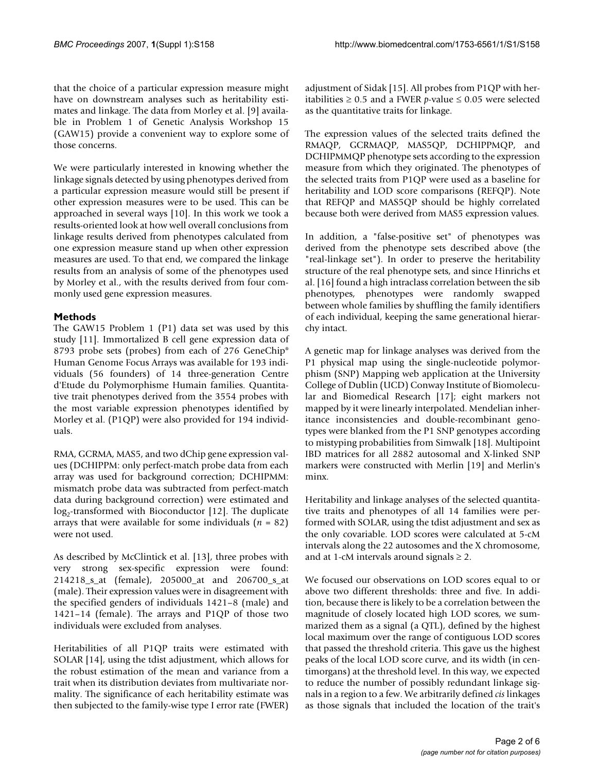that the choice of a particular expression measure might have on downstream analyses such as heritability estimates and linkage. The data from Morley et al. [9] available in Problem 1 of Genetic Analysis Workshop 15 (GAW15) provide a convenient way to explore some of those concerns.

We were particularly interested in knowing whether the linkage signals detected by using phenotypes derived from a particular expression measure would still be present if other expression measures were to be used. This can be approached in several ways [10]. In this work we took a results-oriented look at how well overall conclusions from linkage results derived from phenotypes calculated from one expression measure stand up when other expression measures are used. To that end, we compared the linkage results from an analysis of some of the phenotypes used by Morley et al., with the results derived from four commonly used gene expression measures.

# **Methods**

The GAW15 Problem 1 (P1) data set was used by this study [11]. Immortalized B cell gene expression data of 8793 probe sets (probes) from each of 276 GeneChip® Human Genome Focus Arrays was available for 193 individuals (56 founders) of 14 three-generation Centre d'Etude du Polymorphisme Humain families. Quantitative trait phenotypes derived from the 3554 probes with the most variable expression phenotypes identified by Morley et al. (P1QP) were also provided for 194 individuals.

RMA, GCRMA, MAS5, and two dChip gene expression values (DCHIPPM: only perfect-match probe data from each array was used for background correction; DCHIPMM: mismatch probe data was subtracted from perfect-match data during background correction) were estimated and  $log<sub>2</sub>$ -transformed with Bioconductor [12]. The duplicate arrays that were available for some individuals (*n* = 82) were not used.

As described by McClintick et al. [13], three probes with very strong sex-specific expression were found: 214218\_s\_at (female), 205000\_at and 206700\_s\_at (male). Their expression values were in disagreement with the specified genders of individuals 1421–8 (male) and 1421–14 (female). The arrays and P1QP of those two individuals were excluded from analyses.

Heritabilities of all P1QP traits were estimated with SOLAR [14], using the tdist adjustment, which allows for the robust estimation of the mean and variance from a trait when its distribution deviates from multivariate normality. The significance of each heritability estimate was then subjected to the family-wise type I error rate (FWER)

adjustment of Sidak [15]. All probes from P1QP with heritabilities ≥ 0.5 and a FWER *p*-value  $≤$  0.05 were selected as the quantitative traits for linkage.

The expression values of the selected traits defined the RMAQP, GCRMAQP, MAS5QP, DCHIPPMQP, and DCHIPMMQP phenotype sets according to the expression measure from which they originated. The phenotypes of the selected traits from P1QP were used as a baseline for heritability and LOD score comparisons (REFQP). Note that REFQP and MAS5QP should be highly correlated because both were derived from MAS5 expression values.

In addition, a "false-positive set" of phenotypes was derived from the phenotype sets described above (the "real-linkage set"). In order to preserve the heritability structure of the real phenotype sets, and since Hinrichs et al. [16] found a high intraclass correlation between the sib phenotypes, phenotypes were randomly swapped between whole families by shuffling the family identifiers of each individual, keeping the same generational hierarchy intact.

A genetic map for linkage analyses was derived from the P1 physical map using the single-nucleotide polymorphism (SNP) Mapping web application at the University College of Dublin (UCD) Conway Institute of Biomolecular and Biomedical Research [17]; eight markers not mapped by it were linearly interpolated. Mendelian inheritance inconsistencies and double-recombinant genotypes were blanked from the P1 SNP genotypes according to mistyping probabilities from Simwalk [18]. Multipoint IBD matrices for all 2882 autosomal and X-linked SNP markers were constructed with Merlin [19] and Merlin's minx.

Heritability and linkage analyses of the selected quantitative traits and phenotypes of all 14 families were performed with SOLAR, using the tdist adjustment and sex as the only covariable. LOD scores were calculated at 5-cM intervals along the 22 autosomes and the X chromosome, and at 1-cM intervals around signals  $\geq 2$ .

We focused our observations on LOD scores equal to or above two different thresholds: three and five. In addition, because there is likely to be a correlation between the magnitude of closely located high LOD scores, we summarized them as a signal (a QTL), defined by the highest local maximum over the range of contiguous LOD scores that passed the threshold criteria. This gave us the highest peaks of the local LOD score curve, and its width (in centimorgans) at the threshold level. In this way, we expected to reduce the number of possibly redundant linkage signals in a region to a few. We arbitrarily defined *cis* linkages as those signals that included the location of the trait's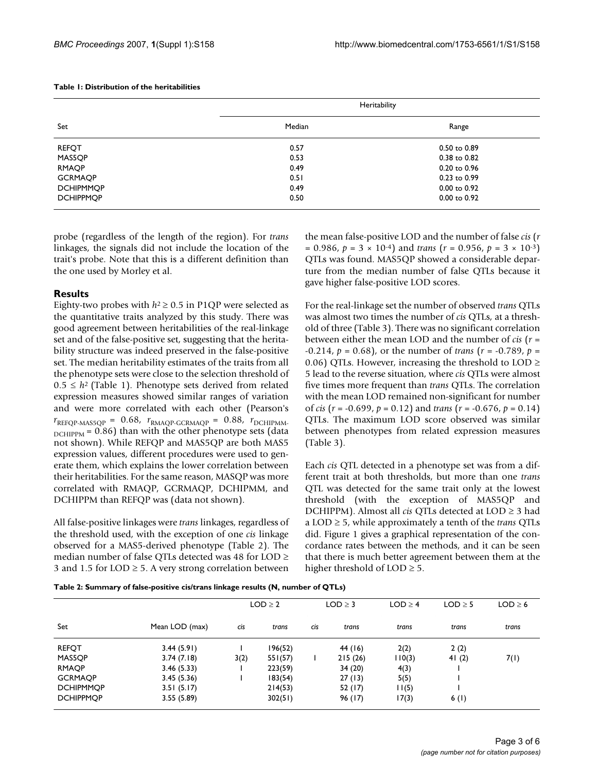### **Table 1: Distribution of the heritabilities**

| Set              | Heritability |                  |  |  |  |
|------------------|--------------|------------------|--|--|--|
|                  | Median       | Range            |  |  |  |
| <b>REFQT</b>     | 0.57         | $0.50$ to $0.89$ |  |  |  |
| MAS5QP           | 0.53         | 0.38 to 0.82     |  |  |  |
| <b>RMAQP</b>     | 0.49         | 0.20 to 0.96     |  |  |  |
| <b>GCRMAOP</b>   | 0.51         | 0.23 to 0.99     |  |  |  |
| <b>DCHIPMMOP</b> | 0.49         | $0.00$ to $0.92$ |  |  |  |
| <b>DCHIPPMOP</b> | 0.50         | $0.00$ to $0.92$ |  |  |  |

probe (regardless of the length of the region). For *trans* linkages, the signals did not include the location of the trait's probe. Note that this is a different definition than the one used by Morley et al.

#### **Results**

Eighty-two probes with  $h^2 \ge 0.5$  in P1QP were selected as the quantitative traits analyzed by this study. There was good agreement between heritabilities of the real-linkage set and of the false-positive set, suggesting that the heritability structure was indeed preserved in the false-positive set. The median heritability estimates of the traits from all the phenotype sets were close to the selection threshold of  $0.5 \leq h^2$  (Table 1). Phenotype sets derived from related expression measures showed similar ranges of variation and were more correlated with each other (Pearson's  $r_{\text{REFQP-MASSQP}} = 0.68$ ,  $r_{\text{RMAQP-GCRMAQP}} = 0.88$ ,  $r_{\text{DCHIPMM}}$  $D$ <sub>DCHIPPM</sub> = 0.86) than with the other phenotype sets (data not shown). While REFQP and MAS5QP are both MAS5 expression values, different procedures were used to generate them, which explains the lower correlation between their heritabilities. For the same reason, MASQP was more correlated with RMAQP, GCRMAQP, DCHIPMM, and DCHIPPM than REFQP was (data not shown).

All false-positive linkages were *trans* linkages, regardless of the threshold used, with the exception of one *cis* linkage observed for a MAS5-derived phenotype (Table 2). The median number of false QTLs detected was 48 for LOD ≥ 3 and 1.5 for  $LOD \geq 5$ . A very strong correlation between the mean false-positive LOD and the number of false *cis* (*r*  $= 0.986$ ,  $p = 3 \times 10^{-4}$  and *trans*  $(r = 0.956, p = 3 \times 10^{-3})$ QTLs was found. MAS5QP showed a considerable departure from the median number of false QTLs because it gave higher false-positive LOD scores.

For the real-linkage set the number of observed *trans* QTLs was almost two times the number of *cis* QTLs, at a threshold of three (Table 3). There was no significant correlation between either the mean LOD and the number of *cis* (*r* = -0.214, *p* = 0.68), or the number of *trans* (*r* = -0.789, *p* = 0.06) QTLs. However, increasing the threshold to  $LOD \geq$ 5 lead to the reverse situation, where *cis* QTLs were almost five times more frequent than *trans* QTLs. The correlation with the mean LOD remained non-significant for number of *cis* (*r* = -0.699, *p* = 0.12) and *trans* (*r* = -0.676, *p* = 0.14) QTLs. The maximum LOD score observed was similar between phenotypes from related expression measures (Table 3).

Each *cis* QTL detected in a phenotype set was from a different trait at both thresholds, but more than one *trans* QTL was detected for the same trait only at the lowest threshold (with the exception of MAS5QP and DCHIPPM). Almost all *cis* QTLs detected at LOD ≥ 3 had a LOD ≥ 5, while approximately a tenth of the *trans* QTLs did. Figure 1 gives a graphical representation of the concordance rates between the methods, and it can be seen that there is much better agreement between them at the higher threshold of  $LOD \geq 5$ .

|                  |                |      | $LOD \geq 2$ |     | $LOD \geq 3$ | $LOD \geq 4$ | $LOD \geq 5$ | $LOD \geq 6$ |
|------------------|----------------|------|--------------|-----|--------------|--------------|--------------|--------------|
| Set              | Mean LOD (max) | cis  | trans        | cis | trans        | trans        | trans        | trans        |
| <b>REFQT</b>     | 3.44(5.91)     |      | 196(52)      |     | 44 (16)      | 2(2)         | 2(2)         |              |
| MAS5OP           | 3.74(7.18)     | 3(2) | 551(57)      |     | 215(26)      | 110(3)       | 4 $(2)$      | 7(1)         |
| <b>RMAOP</b>     | 3.46(5.33)     |      | 223(59)      |     | 34(20)       | 4(3)         |              |              |
| <b>GCRMAOP</b>   | 3.45(5.36)     |      | 183(54)      |     | 27(13)       | 5(5)         |              |              |
| <b>DCHIPMMOP</b> | 3.51(5.17)     |      | 214(53)      |     | 52(17)       | l I (5)      |              |              |
| <b>DCHIPPMOP</b> | 3.55(5.89)     |      | 302(51)      |     | 96 (17)      | 17(3)        | 6(1)         |              |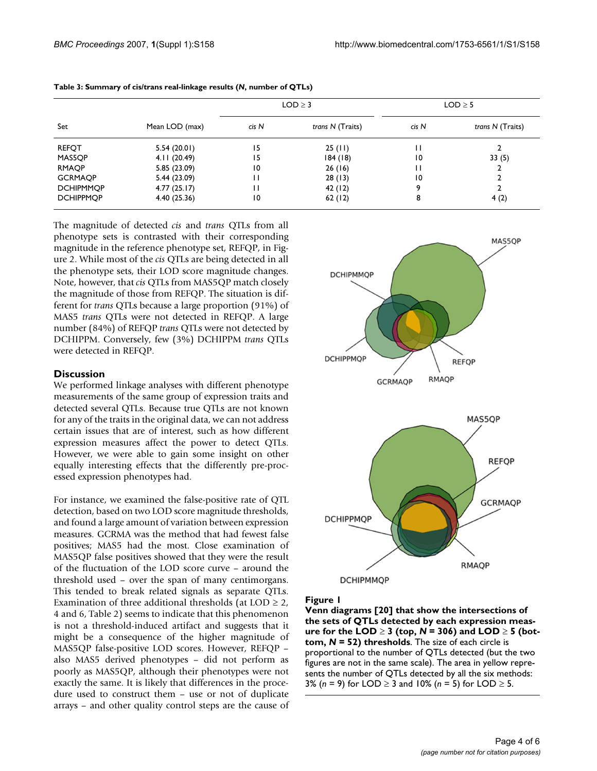| Set              | Mean LOD (max) |                 | $LOD \geq 3$     | $LOD \geq 5$ |                  |
|------------------|----------------|-----------------|------------------|--------------|------------------|
|                  |                | cis N           | trans N (Traits) | cis N        | trans N (Traits) |
| <b>REFQT</b>     | 5.54(20.01)    | 15              | 25(11)           | Н            |                  |
| MAS5QP           | 4.11(20.49)    | 15              | 184(18)          | 10           | 33(5)            |
| <b>RMAQP</b>     | 5.85 (23.09)   | 10              | 26(16)           | Н            |                  |
| <b>GCRMAOP</b>   | 5.44 (23.09)   | н               | 28(13)           | 10           |                  |
| <b>DCHIPMMOP</b> | 4.77(25.17)    | Н               | 42 (12)          | 9            |                  |
| <b>DCHIPPMOP</b> | 4.40(25.36)    | $\overline{10}$ | 62(12)           | 8            | 4(2)             |

#### **Table 3: Summary of cis/trans real-linkage results (***N***, number of QTLs)**

The magnitude of detected *cis* and *trans* QTLs from all phenotype sets is contrasted with their corresponding magnitude in the reference phenotype set, REFQP, in Figure 2. While most of the *cis* QTLs are being detected in all the phenotype sets, their LOD score magnitude changes. Note, however, that *cis* QTLs from MAS5QP match closely the magnitude of those from REFQP. The situation is different for *trans* QTLs because a large proportion (91%) of MAS5 *trans* QTLs were not detected in REFQP. A large number (84%) of REFQP *trans* QTLs were not detected by DCHIPPM. Conversely, few (3%) DCHIPPM *trans* QTLs were detected in REFQP.

## **Discussion**

We performed linkage analyses with different phenotype measurements of the same group of expression traits and detected several QTLs. Because true QTLs are not known for any of the traits in the original data, we can not address certain issues that are of interest, such as how different expression measures affect the power to detect QTLs. However, we were able to gain some insight on other equally interesting effects that the differently pre-processed expression phenotypes had.

For instance, we examined the false-positive rate of QTL detection, based on two LOD score magnitude thresholds, and found a large amount of variation between expression measures. GCRMA was the method that had fewest false positives; MAS5 had the most. Close examination of MAS5QP false positives showed that they were the result of the fluctuation of the LOD score curve – around the threshold used – over the span of many centimorgans. This tended to break related signals as separate QTLs. Examination of three additional thresholds (at  $LOD \geq 2$ , 4 and 6, Table 2) seems to indicate that this phenomenon is not a threshold-induced artifact and suggests that it might be a consequence of the higher magnitude of MAS5QP false-positive LOD scores. However, REFQP – also MAS5 derived phenotypes – did not perform as poorly as MAS5QP, although their phenotypes were not exactly the same. It is likely that differences in the procedure used to construct them – use or not of duplicate arrays – and other quality control steps are the cause of



Figure 1

**Venn diagrams [20] that show the intersections of the sets of QTLs detected by each expression measure for the LOD** ≥ **3 (top,** *N* **= 306) and LOD** ≥ **5 (bottom,** *N* **= 52) thresholds**. The size of each circle is proportional to the number of QTLs detected (but the two figures are not in the same scale). The area in yellow represents the number of QTLs detected by all the six methods: 3% (*n* = 9) for LOD ≥ 3 and 10% (*n* = 5) for LOD ≥ 5.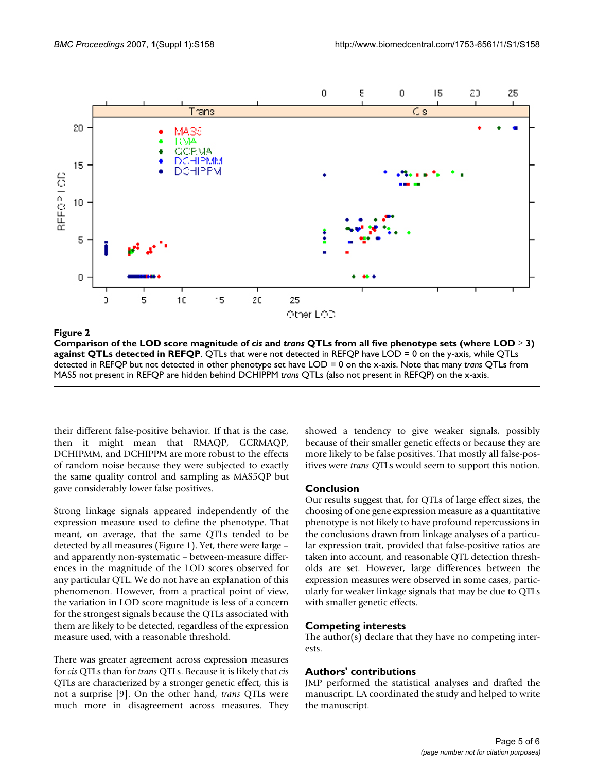

**Comparison of the LOD score magnitude of** *cis* **and** *trans* **QTLs from all five phenotype sets (where LOD** ≥ **3) against QTLs detected in REFQP**. QTLs that were not detected in REFQP have LOD = 0 on the y-axis, while QTLs detected in REFQP but not detected in other phenotype set have LOD = 0 on the x-axis. Note that many *trans* QTLs from MAS5 not present in REFQP are hidden behind DCHIPPM *trans* QTLs (also not present in REFQP) on the x-axis.

their different false-positive behavior. If that is the case, then it might mean that RMAQP, GCRMAQP, DCHIPMM, and DCHIPPM are more robust to the effects of random noise because they were subjected to exactly the same quality control and sampling as MAS5QP but gave considerably lower false positives.

Strong linkage signals appeared independently of the expression measure used to define the phenotype. That meant, on average, that the same QTLs tended to be detected by all measures (Figure 1). Yet, there were large – and apparently non-systematic – between-measure differences in the magnitude of the LOD scores observed for any particular QTL. We do not have an explanation of this phenomenon. However, from a practical point of view, the variation in LOD score magnitude is less of a concern for the strongest signals because the QTLs associated with them are likely to be detected, regardless of the expression measure used, with a reasonable threshold.

There was greater agreement across expression measures for *cis* QTLs than for *trans* QTLs. Because it is likely that *cis* QTLs are characterized by a stronger genetic effect, this is not a surprise [9]. On the other hand, *trans* QTLs were much more in disagreement across measures. They showed a tendency to give weaker signals, possibly because of their smaller genetic effects or because they are more likely to be false positives. That mostly all false-positives were *trans* QTLs would seem to support this notion.

# **Conclusion**

Our results suggest that, for QTLs of large effect sizes, the choosing of one gene expression measure as a quantitative phenotype is not likely to have profound repercussions in the conclusions drawn from linkage analyses of a particular expression trait, provided that false-positive ratios are taken into account, and reasonable QTL detection thresholds are set. However, large differences between the expression measures were observed in some cases, particularly for weaker linkage signals that may be due to QTLs with smaller genetic effects.

# **Competing interests**

The author(s) declare that they have no competing interests.

# **Authors' contributions**

JMP performed the statistical analyses and drafted the manuscript. LA coordinated the study and helped to write the manuscript.